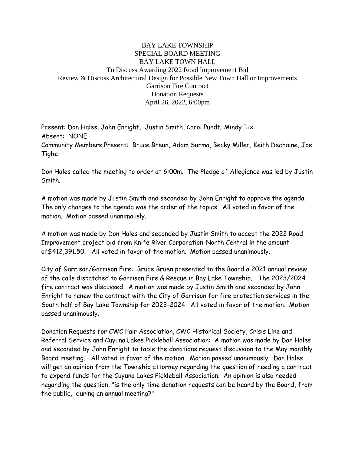## BAY LAKE TOWNSHIP SPECIAL BOARD MEETING BAY LAKE TOWN HALL To Discuss Awarding 2022 Road Improvement Bid Review & Discuss Architectural Design for Possible New Town Hall or Improvements Garrison Fire Contract Donation Requests April 26, 2022, 6:00pm

Present: Don Hales, John Enright, Justin Smith, Carol Pundt; Mindy Tix Absent: NONE Community Members Present: Bruce Breun, Adam Surma, Becky Miller, Keith Dechaine, Joe Tighe

Don Hales called the meeting to order at 6:00m. The Pledge of Allegiance was led by Justin Smith.

A motion was made by Justin Smith and seconded by John Enright to approve the agenda. The only changes to the agenda was the order of the topics. All voted in favor of the motion. Motion passed unanimously.

A motion was made by Don Hales and seconded by Justin Smith to accept the 2022 Road Improvement project bid from Knife River Corporation-North Central in the amount of\$412,391.50. All voted in favor of the motion. Motion passed unanimously.

City of Garrison/Garrison Fire: Bruce Bruen presented to the Board a 2021 annual review of the calls dispatched to Garrison Fire & Rescue in Bay Lake Township. The 2023/2024 fire contract was discussed. A motion was made by Justin Smith and seconded by John Enright to renew the contract with the City of Garrison for fire protection services in the South half of Bay Lake Township for 2023-2024. All voted in favor of the motion. Motion passed unanimously.

Donation Requests for CWC Fair Association, CWC Historical Society, Crisis Line and Referral Service and Cuyuna Lakes Pickleball Association: A motion was made by Don Hales and seconded by John Enright to table the donations request discussion to the May monthly Board meeting. All voted in favor of the motion. Motion passed unanimously. Don Hales will get an opinion from the Township attorney regarding the question of needing a contract to expend funds for the Cuyuna Lakes Pickleball Association. An opinion is also needed regarding the question, "is the only time donation requests can be heard by the Board, from the public, during an annual meeting?"